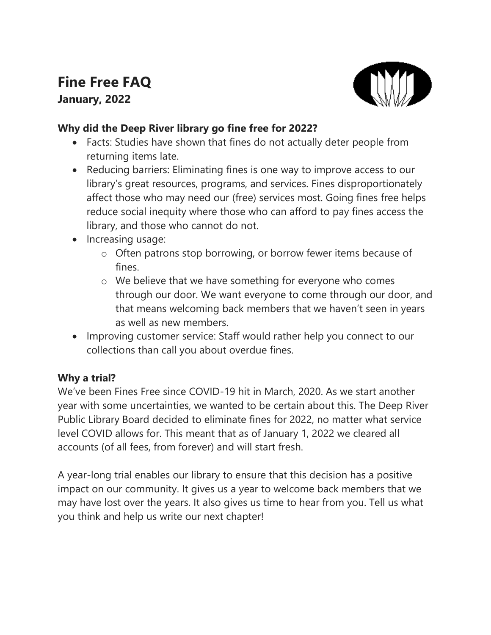# **Fine Free FAQ**

**January, 2022**



# **Why did the Deep River library go fine free for 2022?**

- Facts: Studies have shown that fines do not actually deter people from returning items late.
- Reducing barriers: Eliminating fines is one way to improve access to our library's great resources, programs, and services. Fines disproportionately affect those who may need our (free) services most. Going fines free helps reduce social inequity where those who can afford to pay fines access the library, and those who cannot do not.
- Increasing usage:
	- o Often patrons stop borrowing, or borrow fewer items because of fines.
	- o We believe that we have something for everyone who comes through our door. We want everyone to come through our door, and that means welcoming back members that we haven't seen in years as well as new members.
- Improving customer service: Staff would rather help you connect to our collections than call you about overdue fines.

# **Why a trial?**

We've been Fines Free since COVID-19 hit in March, 2020. As we start another year with some uncertainties, we wanted to be certain about this. The Deep River Public Library Board decided to eliminate fines for 2022, no matter what service level COVID allows for. This meant that as of January 1, 2022 we cleared all accounts (of all fees, from forever) and will start fresh.

A year-long trial enables our library to ensure that this decision has a positive impact on our community. It gives us a year to welcome back members that we may have lost over the years. It also gives us time to hear from you. Tell us what you think and help us write our next chapter!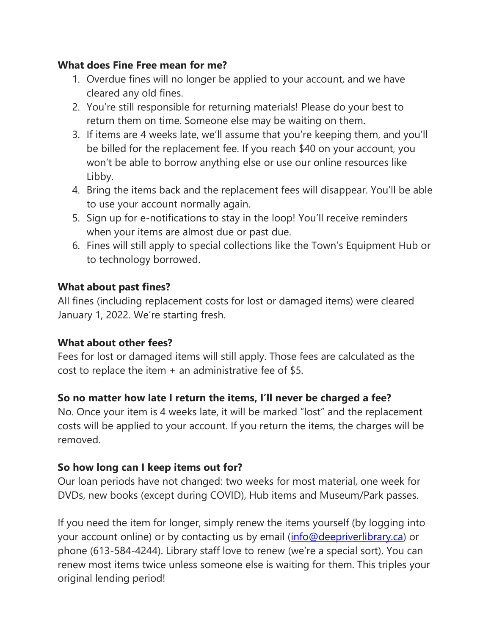# **What does Fine Free mean for me?**

- 1. Overdue fines will no longer be applied to your account, and we have cleared any old fines.
- 2. You're still responsible for returning materials! Please do your best to return them on time. Someone else may be waiting on them.
- 3. If items are 4 weeks late, we'll assume that you're keeping them, and you'll be billed for the replacement fee. If you reach \$40 on your account, you won't be able to borrow anything else or use our online resources like Libby.
- 4. Bring the items back and the replacement fees will disappear. You'll be able to use your account normally again.
- 5. Sign up for e-notifications to stay in the loop! You'll receive reminders when your items are almost due or past due.
- 6. Fines will still apply to special collections like the Town's Equipment Hub or to technology borrowed.

#### **What about past fines?**

All fines (including replacement costs for lost or damaged items) were cleared January 1, 2022. We're starting fresh.

#### **What about other fees?**

Fees for lost or damaged items will still apply. Those fees are calculated as the cost to replace the item  $+$  an administrative fee of \$5.

#### **So no matter how late I return the items, I'll never be charged a fee?**

No. Once your item is 4 weeks late, it will be marked "lost" and the replacement costs will be applied to your account. If you return the items, the charges will be removed.

#### **So how long can I keep items out for?**

Our loan periods have not changed: two weeks for most material, one week for DVDs, new books (except during COVID), Hub items and Museum/Park passes.

If you need the item for longer, simply renew the items yourself (by logging into your account online) or by contacting us by email [\(info@deepriverlibrary.ca\)](mailto:info@deepriverlibrary.ca) or phone (613-584-4244). Library staff love to renew (we're a special sort). You can renew most items twice unless someone else is waiting for them. This triples your original lending period!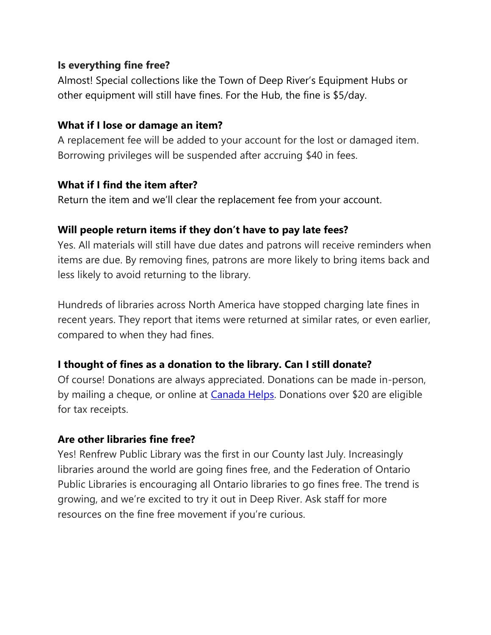## **Is everything fine free?**

Almost! Special collections like the Town of Deep River's Equipment Hubs or other equipment will still have fines. For the Hub, the fine is \$5/day.

#### **What if I lose or damage an item?**

A replacement fee will be added to your account for the lost or damaged item. Borrowing privileges will be suspended after accruing \$40 in fees.

#### **What if I find the item after?**

Return the item and we'll clear the replacement fee from your account.

# **Will people return items if they don't have to pay late fees?**

Yes. All materials will still have due dates and patrons will receive reminders when items are due. By removing fines, patrons are more likely to bring items back and less likely to avoid returning to the library.

Hundreds of libraries across North America have stopped charging late fines in recent years. They report that items were returned at similar rates, or even earlier, compared to when they had fines.

# **I thought of fines as a donation to the library. Can I still donate?**

Of course! Donations are always appreciated. Donations can be made in-person, by mailing a cheque, or online at **Canada Helps**. Donations over \$20 are eligible for tax receipts.

# **Are other libraries fine free?**

Yes! Renfrew Public Library was the first in our County last July. Increasingly libraries around the world are going fines free, and the Federation of Ontario Public Libraries is encouraging all Ontario libraries to go fines free. The trend is growing, and we're excited to try it out in Deep River. Ask staff for more resources on the fine free movement if you're curious.